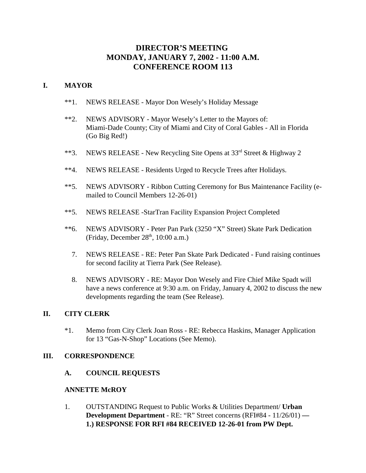# **DIRECTOR'S MEETING MONDAY, JANUARY 7, 2002 - 11:00 A.M. CONFERENCE ROOM 113**

## **I. MAYOR**

- \*\*1. NEWS RELEASE Mayor Don Wesely's Holiday Message
- \*\*2. NEWS ADVISORY Mayor Wesely's Letter to the Mayors of: Miami-Dade County; City of Miami and City of Coral Gables - All in Florida (Go Big Red!)
- \*\*3. NEWS RELEASE New Recycling Site Opens at  $33<sup>rd</sup>$  Street & Highway 2
- \*\*4. NEWS RELEASE Residents Urged to Recycle Trees after Holidays.
- \*\*5. NEWS ADVISORY Ribbon Cutting Ceremony for Bus Maintenance Facility (emailed to Council Members 12-26-01)
- \*\*5. NEWS RELEASE -StarTran Facility Expansion Project Completed
- \*\*6. NEWS ADVISORY Peter Pan Park (3250 "X" Street) Skate Park Dedication (Friday, December  $28<sup>th</sup>$ , 10:00 a.m.)
	- 7. NEWS RELEASE RE: Peter Pan Skate Park Dedicated Fund raising continues for second facility at Tierra Park (See Release).
	- 8. NEWS ADVISORY RE: Mayor Don Wesely and Fire Chief Mike Spadt will have a news conference at 9:30 a.m. on Friday, January 4, 2002 to discuss the new developments regarding the team (See Release).

## **II. CITY CLERK**

\*1. Memo from City Clerk Joan Ross - RE: Rebecca Haskins, Manager Application for 13 "Gas-N-Shop" Locations (See Memo).

## **III. CORRESPONDENCE**

**A. COUNCIL REQUESTS**

## **ANNETTE McROY**

1. OUTSTANDING Request to Public Works & Utilities Department/ **Urban Development Department** - RE: "R" Street concerns (RFI#84 - 11/26/01) **— 1.) RESPONSE FOR RFI #84 RECEIVED 12-26-01 from PW Dept.**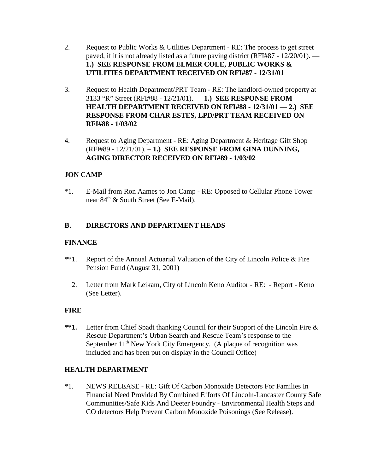- 2. Request to Public Works & Utilities Department RE: The process to get street paved, if it is not already listed as a future paving district (RFI#87 - 12/20/01). — **1.) SEE RESPONSE FROM ELMER COLE, PUBLIC WORKS & UTILITIES DEPARTMENT RECEIVED ON RFI#87 - 12/31/01**
- 3. Request to Health Department/PRT Team RE: The landlord-owned property at 3133 "R" Street (RFI#88 - 12/21/01). — **1.) SEE RESPONSE FROM HEALTH DEPARTMENT RECEIVED ON RFI#88 - 12/31/01** — **2.) SEE RESPONSE FROM CHAR ESTES, LPD/PRT TEAM RECEIVED ON RFI#88 - 1/03/02**
- 4. Request to Aging Department RE: Aging Department & Heritage Gift Shop (RFI#89 - 12/21/01). – **1.) SEE RESPONSE FROM GINA DUNNING, AGING DIRECTOR RECEIVED ON RFI#89 - 1/03/02**

# **JON CAMP**

\*1. E-Mail from Ron Aames to Jon Camp - RE: Opposed to Cellular Phone Tower near 84<sup>th</sup> & South Street (See E-Mail).

# **B. DIRECTORS AND DEPARTMENT HEADS**

# **FINANCE**

- \*\*1. Report of the Annual Actuarial Valuation of the City of Lincoln Police & Fire Pension Fund (August 31, 2001)
	- 2. Letter from Mark Leikam, City of Lincoln Keno Auditor RE: Report Keno (See Letter).

# **FIRE**

**\*\*1.** Letter from Chief Spadt thanking Council for their Support of the Lincoln Fire & Rescue Department's Urban Search and Rescue Team's response to the September  $11<sup>th</sup>$  New York City Emergency. (A plaque of recognition was included and has been put on display in the Council Office)

# **HEALTH DEPARTMENT**

\*1. NEWS RELEASE - RE: Gift Of Carbon Monoxide Detectors For Families In Financial Need Provided By Combined Efforts Of Lincoln-Lancaster County Safe Communities/Safe Kids And Deeter Foundry - Environmental Health Steps and CO detectors Help Prevent Carbon Monoxide Poisonings (See Release).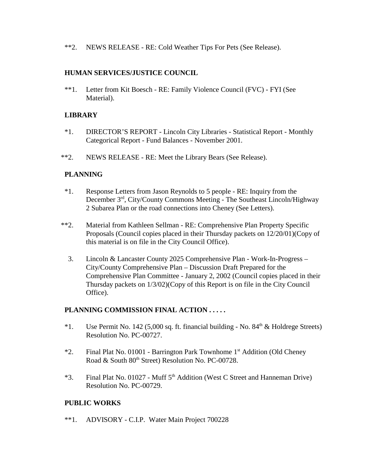\*\*2. NEWS RELEASE - RE: Cold Weather Tips For Pets (See Release).

## **HUMAN SERVICES/JUSTICE COUNCIL**

\*\*1. Letter from Kit Boesch - RE: Family Violence Council (FVC) - FYI (See Material).

# **LIBRARY**

- \*1. DIRECTOR'S REPORT Lincoln City Libraries Statistical Report Monthly Categorical Report - Fund Balances - November 2001.
- \*\*2. NEWS RELEASE RE: Meet the Library Bears (See Release).

# **PLANNING**

- \*1. Response Letters from Jason Reynolds to 5 people RE: Inquiry from the December 3rd, City/County Commons Meeting - The Southeast Lincoln/Highway 2 Subarea Plan or the road connections into Cheney (See Letters).
- \*\*2. Material from Kathleen Sellman RE: Comprehensive Plan Property Specific Proposals (Council copies placed in their Thursday packets on 12/20/01)(Copy of this material is on file in the City Council Office).
	- 3. Lincoln & Lancaster County 2025 Comprehensive Plan Work-In-Progress City/County Comprehensive Plan – Discussion Draft Prepared for the Comprehensive Plan Committee - January 2, 2002 (Council copies placed in their Thursday packets on 1/3/02)(Copy of this Report is on file in the City Council Office).

## **PLANNING COMMISSION FINAL ACTION . . . . .**

- <sup>\*</sup>1. Use Permit No. 142 (5,000 sq. ft. financial building No.  $84<sup>th</sup>$  & Holdrege Streets) Resolution No. PC-00727.
- \*2. Final Plat No. 01001 Barrington Park Townhome 1st Addition (Old Cheney Road & South 80<sup>th</sup> Street) Resolution No. PC-00728.
- \*3. Final Plat No. 01027 Muff 5<sup>th</sup> Addition (West C Street and Hanneman Drive) Resolution No. PC-00729.

## **PUBLIC WORKS**

\*\*1. ADVISORY - C.I.P. Water Main Project 700228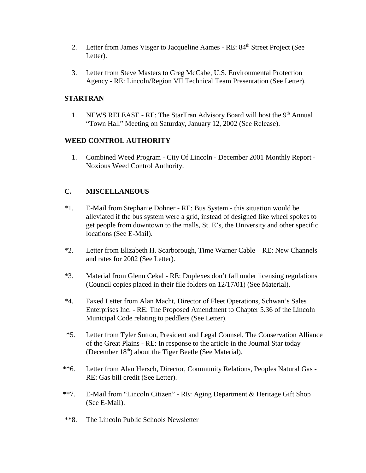- 2. Letter from James Visger to Jacqueline Aames RE: 84<sup>th</sup> Street Project (See Letter).
- 3. Letter from Steve Masters to Greg McCabe, U.S. Environmental Protection Agency - RE: Lincoln/Region VII Technical Team Presentation (See Letter).

## **STARTRAN**

1. NEWS RELEASE - RE: The StarTran Advisory Board will host the 9<sup>th</sup> Annual "Town Hall" Meeting on Saturday, January 12, 2002 (See Release).

## **WEED CONTROL AUTHORITY**

 1. Combined Weed Program - City Of Lincoln - December 2001 Monthly Report - Noxious Weed Control Authority.

# **C. MISCELLANEOUS**

- \*1. E-Mail from Stephanie Dohner RE: Bus System this situation would be alleviated if the bus system were a grid, instead of designed like wheel spokes to get people from downtown to the malls, St. E's, the University and other specific locations (See E-Mail).
- \*2. Letter from Elizabeth H. Scarborough, Time Warner Cable RE: New Channels and rates for 2002 (See Letter).
- \*3. Material from Glenn Cekal RE: Duplexes don't fall under licensing regulations (Council copies placed in their file folders on 12/17/01) (See Material).
- \*4. Faxed Letter from Alan Macht, Director of Fleet Operations, Schwan's Sales Enterprises Inc. - RE: The Proposed Amendment to Chapter 5.36 of the Lincoln Municipal Code relating to peddlers (See Letter).
- \*5. Letter from Tyler Sutton, President and Legal Counsel, The Conservation Alliance of the Great Plains - RE: In response to the article in the Journal Star today (December  $18<sup>th</sup>$ ) about the Tiger Beetle (See Material).
- \*\*6. Letter from Alan Hersch, Director, Community Relations, Peoples Natural Gas RE: Gas bill credit (See Letter).
- \*\*7. E-Mail from "Lincoln Citizen" RE: Aging Department & Heritage Gift Shop (See E-Mail).
- \*\*8. The Lincoln Public Schools Newsletter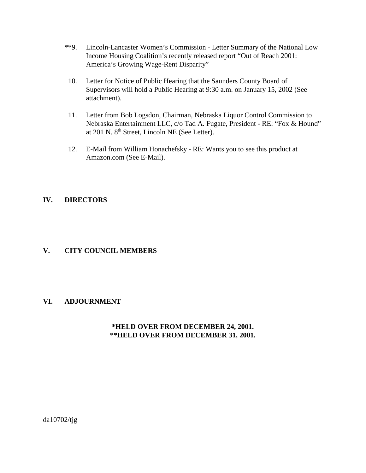- \*\*9. Lincoln-Lancaster Women's Commission Letter Summary of the National Low Income Housing Coalition's recently released report "Out of Reach 2001: America's Growing Wage-Rent Disparity"
- 10. Letter for Notice of Public Hearing that the Saunders County Board of Supervisors will hold a Public Hearing at 9:30 a.m. on January 15, 2002 (See attachment).
- 11. Letter from Bob Logsdon, Chairman, Nebraska Liquor Control Commission to Nebraska Entertainment LLC, c/o Tad A. Fugate, President - RE: "Fox & Hound" at 201 N. 8<sup>th</sup> Street, Lincoln NE (See Letter).
- 12. E-Mail from William Honachefsky RE: Wants you to see this product at Amazon.com (See E-Mail).

# **IV. DIRECTORS**

## **V. CITY COUNCIL MEMBERS**

## **VI. ADJOURNMENT**

## **\*HELD OVER FROM DECEMBER 24, 2001. \*\*HELD OVER FROM DECEMBER 31, 2001.**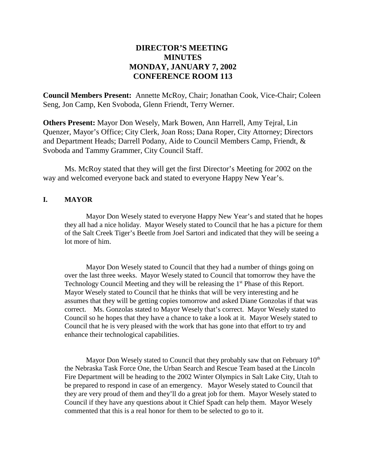# **DIRECTOR'S MEETING MINUTES MONDAY, JANUARY 7, 2002 CONFERENCE ROOM 113**

**Council Members Present:** Annette McRoy, Chair; Jonathan Cook, Vice-Chair; Coleen Seng, Jon Camp, Ken Svoboda, Glenn Friendt, Terry Werner.

**Others Present:** Mayor Don Wesely, Mark Bowen, Ann Harrell, Amy Tejral, Lin Quenzer, Mayor's Office; City Clerk, Joan Ross; Dana Roper, City Attorney; Directors and Department Heads; Darrell Podany, Aide to Council Members Camp, Friendt, & Svoboda and Tammy Grammer, City Council Staff.

Ms. McRoy stated that they will get the first Director's Meeting for 2002 on the way and welcomed everyone back and stated to everyone Happy New Year's.

#### **I. MAYOR**

Mayor Don Wesely stated to everyone Happy New Year's and stated that he hopes they all had a nice holiday. Mayor Wesely stated to Council that he has a picture for them of the Salt Creek Tiger's Beetle from Joel Sartori and indicated that they will be seeing a lot more of him.

Mayor Don Wesely stated to Council that they had a number of things going on over the last three weeks. Mayor Wesely stated to Council that tomorrow they have the Technology Council Meeting and they will be releasing the 1<sup>st</sup> Phase of this Report. Mayor Wesely stated to Council that he thinks that will be very interesting and he assumes that they will be getting copies tomorrow and asked Diane Gonzolas if that was correct. Ms. Gonzolas stated to Mayor Wesely that's correct. Mayor Wesely stated to Council so he hopes that they have a chance to take a look at it. Mayor Wesely stated to Council that he is very pleased with the work that has gone into that effort to try and enhance their technological capabilities.

Mayor Don Wesely stated to Council that they probably saw that on February  $10<sup>th</sup>$ the Nebraska Task Force One, the Urban Search and Rescue Team based at the Lincoln Fire Department will be heading to the 2002 Winter Olympics in Salt Lake City, Utah to be prepared to respond in case of an emergency. Mayor Wesely stated to Council that they are very proud of them and they'll do a great job for them. Mayor Wesely stated to Council if they have any questions about it Chief Spadt can help them. Mayor Wesely commented that this is a real honor for them to be selected to go to it.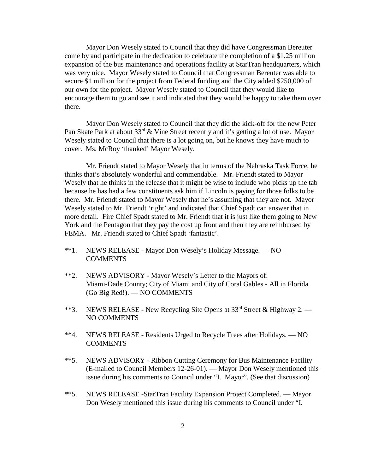Mayor Don Wesely stated to Council that they did have Congressman Bereuter come by and participate in the dedication to celebrate the completion of a \$1.25 million expansion of the bus maintenance and operations facility at StarTran headquarters, which was very nice. Mayor Wesely stated to Council that Congressman Bereuter was able to secure \$1 million for the project from Federal funding and the City added \$250,000 of our own for the project. Mayor Wesely stated to Council that they would like to encourage them to go and see it and indicated that they would be happy to take them over there.

Mayor Don Wesely stated to Council that they did the kick-off for the new Peter Pan Skate Park at about  $33^{rd}$  & Vine Street recently and it's getting a lot of use. Mayor Wesely stated to Council that there is a lot going on, but he knows they have much to cover. Ms. McRoy 'thanked' Mayor Wesely.

Mr. Friendt stated to Mayor Wesely that in terms of the Nebraska Task Force, he thinks that's absolutely wonderful and commendable. Mr. Friendt stated to Mayor Wesely that he thinks in the release that it might be wise to include who picks up the tab because he has had a few constituents ask him if Lincoln is paying for those folks to be there. Mr. Friendt stated to Mayor Wesely that he's assuming that they are not. Mayor Wesely stated to Mr. Friendt 'right' and indicated that Chief Spadt can answer that in more detail. Fire Chief Spadt stated to Mr. Friendt that it is just like them going to New York and the Pentagon that they pay the cost up front and then they are reimbursed by FEMA. Mr. Friendt stated to Chief Spadt 'fantastic'.

- \*\*1. NEWS RELEASE Mayor Don Wesely's Holiday Message. NO **COMMENTS**
- \*\*2. NEWS ADVISORY Mayor Wesely's Letter to the Mayors of: Miami-Dade County; City of Miami and City of Coral Gables - All in Florida (Go Big Red!). — NO COMMENTS
- \*\*3. NEWS RELEASE New Recycling Site Opens at  $33<sup>rd</sup>$  Street & Highway 2. NO COMMENTS
- \*\*4. NEWS RELEASE Residents Urged to Recycle Trees after Holidays. NO **COMMENTS**
- \*\*5. NEWS ADVISORY Ribbon Cutting Ceremony for Bus Maintenance Facility (E-mailed to Council Members 12-26-01). — Mayor Don Wesely mentioned this issue during his comments to Council under "I. Mayor". (See that discussion)
- \*\*5. NEWS RELEASE -StarTran Facility Expansion Project Completed. Mayor Don Wesely mentioned this issue during his comments to Council under "I.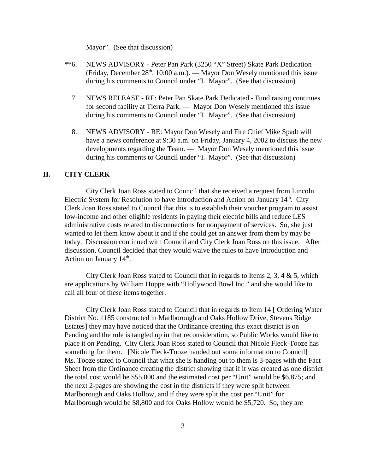Mayor". (See that discussion)

- \*\*6. NEWS ADVISORY Peter Pan Park (3250 "X" Street) Skate Park Dedication (Friday, December  $28<sup>th</sup>$ , 10:00 a.m.). — Mayor Don Wesely mentioned this issue during his comments to Council under "I. Mayor". (See that discussion)
	- 7. NEWS RELEASE RE: Peter Pan Skate Park Dedicated Fund raising continues for second facility at Tierra Park. — Mayor Don Wesely mentioned this issue during his comments to Council under "I. Mayor". (See that discussion)
	- 8. NEWS ADVISORY RE: Mayor Don Wesely and Fire Chief Mike Spadt will have a news conference at 9:30 a.m. on Friday, January 4, 2002 to discuss the new developments regarding the Team. — Mayor Don Wesely mentioned this issue during his comments to Council under "I. Mayor". (See that discussion)

#### **II. CITY CLERK**

City Clerk Joan Ross stated to Council that she received a request from Lincoln Electric System for Resolution to have Introduction and Action on January  $14<sup>th</sup>$ . City Clerk Joan Ross stated to Council that this is to establish their voucher program to assist low-income and other eligible residents in paying their electric bills and reduce LES administrative costs related to disconnections for nonpayment of services. So, she just wanted to let them know about it and if she could get an answer from them by may be today. Discussion continued with Council and City Clerk Joan Ross on this issue. After discussion, Council decided that they would waive the rules to have Introduction and Action on January  $14<sup>th</sup>$ .

City Clerk Joan Ross stated to Council that in regards to Items 2, 3, 4 & 5, which are applications by William Hoppe with "Hollywood Bowl Inc." and she would like to call all four of these items together.

City Clerk Joan Ross stated to Council that in regards to Item 14 [ Ordering Water District No. 1185 constructed in Marlborough and Oaks Hollow Drive, Stevens Ridge Estates] they may have noticed that the Ordinance creating this exact district is on Pending and the rule is tangled up in that reconsideration, so Public Works would like to place it on Pending. City Clerk Joan Ross stated to Council that Nicole Fleck-Tooze has something for them. [Nicole Fleck-Tooze handed out some information to Council] Ms. Tooze stated to Council that what she is handing out to them is 3-pages with the Fact Sheet from the Ordinance creating the district showing that if it was created as one district the total cost would be \$55,000 and the estimated cost per "Unit" would be \$6,875; and the next 2-pages are showing the cost in the districts if they were split between Marlborough and Oaks Hollow, and if they were split the cost per "Unit" for Marlborough would be \$8,800 and for Oaks Hollow would be \$5,720. So, they are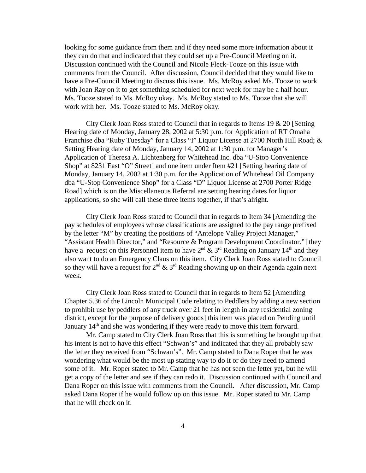looking for some guidance from them and if they need some more information about it they can do that and indicated that they could set up a Pre-Council Meeting on it. Discussion continued with the Council and Nicole Fleck-Tooze on this issue with comments from the Council. After discussion, Council decided that they would like to have a Pre-Council Meeting to discuss this issue. Ms. McRoy asked Ms. Tooze to work with Joan Ray on it to get something scheduled for next week for may be a half hour. Ms. Tooze stated to Ms. McRoy okay. Ms. McRoy stated to Ms. Tooze that she will work with her. Ms. Tooze stated to Ms. McRoy okay.

City Clerk Joan Ross stated to Council that in regards to Items 19 & 20 [Setting Hearing date of Monday, January 28, 2002 at 5:30 p.m. for Application of RT Omaha Franchise dba "Ruby Tuesday" for a Class "I" Liquor License at 2700 North Hill Road; & Setting Hearing date of Monday, January 14, 2002 at 1:30 p.m. for Manager's Application of Theresa A. Lichtenberg for Whitehead Inc. dba "U-Stop Convenience Shop" at 8231 East "O" Street] and one item under Item #21 [Setting hearing date of Monday, January 14, 2002 at 1:30 p.m. for the Application of Whitehead Oil Company dba "U-Stop Convenience Shop" for a Class "D" Liquor License at 2700 Porter Ridge Road] which is on the Miscellaneous Referral are setting hearing dates for liquor applications, so she will call these three items together, if that's alright.

City Clerk Joan Ross stated to Council that in regards to Item 34 [Amending the pay schedules of employees whose classifications are assigned to the pay range prefixed by the letter "M" by creating the positions of "Antelope Valley Project Manager," "Assistant Health Director," and "Resource & Program Development Coordinator."] they have a request on this Personnel item to have  $2^{nd} \& 3^{rd}$  Reading on January 14<sup>th</sup> and they also want to do an Emergency Claus on this item. City Clerk Joan Ross stated to Council so they will have a request for  $2^{nd} \& 3^{rd}$  Reading showing up on their Agenda again next week.

City Clerk Joan Ross stated to Council that in regards to Item 52 [Amending Chapter 5.36 of the Lincoln Municipal Code relating to Peddlers by adding a new section to prohibit use by peddlers of any truck over 21 feet in length in any residential zoning district, except for the purpose of delivery goods] this item was placed on Pending until January 14<sup>th</sup> and she was wondering if they were ready to move this item forward.

Mr. Camp stated to City Clerk Joan Ross that this is something he brought up that his intent is not to have this effect "Schwan's" and indicated that they all probably saw the letter they received from "Schwan's". Mr. Camp stated to Dana Roper that he was wondering what would be the most up stating way to do it or do they need to amend some of it. Mr. Roper stated to Mr. Camp that he has not seen the letter yet, but he will get a copy of the letter and see if they can redo it. Discussion continued with Council and Dana Roper on this issue with comments from the Council. After discussion, Mr. Camp asked Dana Roper if he would follow up on this issue. Mr. Roper stated to Mr. Camp that he will check on it.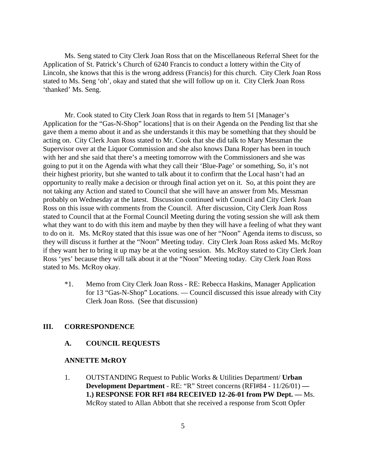Ms. Seng stated to City Clerk Joan Ross that on the Miscellaneous Referral Sheet for the Application of St. Patrick's Church of 6240 Francis to conduct a lottery within the City of Lincoln, she knows that this is the wrong address (Francis) for this church. City Clerk Joan Ross stated to Ms. Seng 'oh', okay and stated that she will follow up on it. City Clerk Joan Ross 'thanked' Ms. Seng.

Mr. Cook stated to City Clerk Joan Ross that in regards to Item 51 [Manager's Application for the "Gas-N-Shop" locations] that is on their Agenda on the Pending list that she gave them a memo about it and as she understands it this may be something that they should be acting on. City Clerk Joan Ross stated to Mr. Cook that she did talk to Mary Messman the Supervisor over at the Liquor Commission and she also knows Dana Roper has been in touch with her and she said that there's a meeting tomorrow with the Commissioners and she was going to put it on the Agenda with what they call their 'Blue-Page' or something, So, it's not their highest priority, but she wanted to talk about it to confirm that the Local hasn't had an opportunity to really make a decision or through final action yet on it. So, at this point they are not taking any Action and stated to Council that she will have an answer from Ms. Messman probably on Wednesday at the latest. Discussion continued with Council and City Clerk Joan Ross on this issue with comments from the Council. After discussion, City Clerk Joan Ross stated to Council that at the Formal Council Meeting during the voting session she will ask them what they want to do with this item and maybe by then they will have a feeling of what they want to do on it. Ms. McRoy stated that this issue was one of her "Noon" Agenda items to discuss, so they will discuss it further at the "Noon" Meeting today. City Clerk Joan Ross asked Ms. McRoy if they want her to bring it up may be at the voting session. Ms. McRoy stated to City Clerk Joan Ross 'yes' because they will talk about it at the "Noon" Meeting today. City Clerk Joan Ross stated to Ms. McRoy okay.

\*1. Memo from City Clerk Joan Ross - RE: Rebecca Haskins, Manager Application for 13 "Gas-N-Shop" Locations. — Council discussed this issue already with City Clerk Joan Ross. (See that discussion)

#### **III. CORRESPONDENCE**

## **A. COUNCIL REQUESTS**

#### **ANNETTE McROY**

1. OUTSTANDING Request to Public Works & Utilities Department/ **Urban Development Department** - RE: "R" Street concerns (RFI#84 - 11/26/01) **— 1.) RESPONSE FOR RFI #84 RECEIVED 12-26-01 from PW Dept. —** Ms. McRoy stated to Allan Abbott that she received a response from Scott Opfer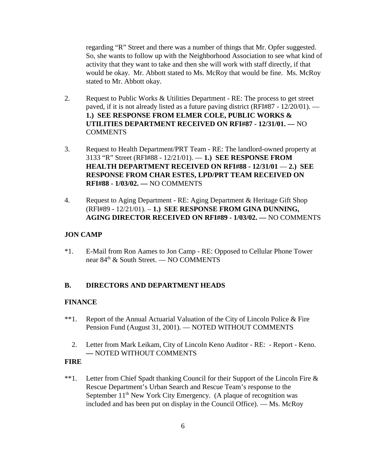regarding "R" Street and there was a number of things that Mr. Opfer suggested. So, she wants to follow up with the Neighborhood Association to see what kind of activity that they want to take and then she will work with staff directly, if that would be okay. Mr. Abbott stated to Ms. McRoy that would be fine. Ms. McRoy stated to Mr. Abbott okay.

- 2. Request to Public Works & Utilities Department RE: The process to get street paved, if it is not already listed as a future paving district (RFI#87 - 12/20/01). — **1.) SEE RESPONSE FROM ELMER COLE, PUBLIC WORKS & UTILITIES DEPARTMENT RECEIVED ON RFI#87 - 12/31/01. —** NO **COMMENTS**
- 3. Request to Health Department/PRT Team RE: The landlord-owned property at 3133 "R" Street (RFI#88 - 12/21/01). — **1.) SEE RESPONSE FROM HEALTH DEPARTMENT RECEIVED ON RFI#88 - 12/31/01** — **2.) SEE RESPONSE FROM CHAR ESTES, LPD/PRT TEAM RECEIVED ON RFI#88 - 1/03/02. —** NO COMMENTS
- 4. Request to Aging Department RE: Aging Department & Heritage Gift Shop (RFI#89 - 12/21/01). – **1.) SEE RESPONSE FROM GINA DUNNING, AGING DIRECTOR RECEIVED ON RFI#89 - 1/03/02. —** NO COMMENTS

## **JON CAMP**

\*1. E-Mail from Ron Aames to Jon Camp - RE: Opposed to Cellular Phone Tower near 84th & South Street. — NO COMMENTS

## **B. DIRECTORS AND DEPARTMENT HEADS**

## **FINANCE**

- \*\*1. Report of the Annual Actuarial Valuation of the City of Lincoln Police & Fire Pension Fund (August 31, 2001). — NOTED WITHOUT COMMENTS
	- 2. Letter from Mark Leikam, City of Lincoln Keno Auditor RE: Report Keno. **—** NOTED WITHOUT COMMENTS

## **FIRE**

\*\*1. Letter from Chief Spadt thanking Council for their Support of the Lincoln Fire & Rescue Department's Urban Search and Rescue Team's response to the September  $11<sup>th</sup>$  New York City Emergency. (A plaque of recognition was included and has been put on display in the Council Office). — Ms. McRoy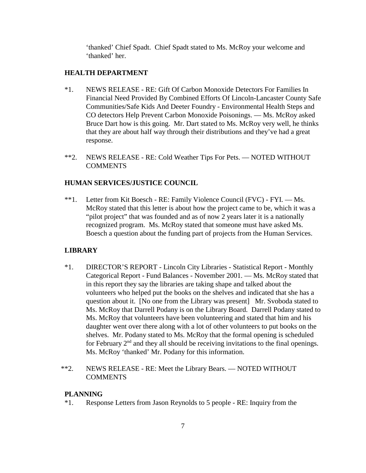'thanked' Chief Spadt. Chief Spadt stated to Ms. McRoy your welcome and 'thanked' her.

## **HEALTH DEPARTMENT**

- \*1. NEWS RELEASE RE: Gift Of Carbon Monoxide Detectors For Families In Financial Need Provided By Combined Efforts Of Lincoln-Lancaster County Safe Communities/Safe Kids And Deeter Foundry - Environmental Health Steps and CO detectors Help Prevent Carbon Monoxide Poisonings. — Ms. McRoy asked Bruce Dart how is this going. Mr. Dart stated to Ms. McRoy very well, he thinks that they are about half way through their distributions and they've had a great response.
- \*\*2. NEWS RELEASE RE: Cold Weather Tips For Pets. NOTED WITHOUT **COMMENTS**

## **HUMAN SERVICES/JUSTICE COUNCIL**

\*\*1. Letter from Kit Boesch - RE: Family Violence Council (FVC) - FYI. — Ms. McRoy stated that this letter is about how the project came to be, which it was a "pilot project" that was founded and as of now 2 years later it is a nationally recognized program. Ms. McRoy stated that someone must have asked Ms. Boesch a question about the funding part of projects from the Human Services.

## **LIBRARY**

- \*1. DIRECTOR'S REPORT Lincoln City Libraries Statistical Report Monthly Categorical Report - Fund Balances - November 2001. — Ms. McRoy stated that in this report they say the libraries are taking shape and talked about the volunteers who helped put the books on the shelves and indicated that she has a question about it. [No one from the Library was present] Mr. Svoboda stated to Ms. McRoy that Darrell Podany is on the Library Board. Darrell Podany stated to Ms. McRoy that volunteers have been volunteering and stated that him and his daughter went over there along with a lot of other volunteers to put books on the shelves. Mr. Podany stated to Ms. McRoy that the formal opening is scheduled for February  $2<sup>nd</sup>$  and they all should be receiving invitations to the final openings. Ms. McRoy 'thanked' Mr. Podany for this information.
- \*\*2. NEWS RELEASE RE: Meet the Library Bears. NOTED WITHOUT COMMENTS

## **PLANNING**

\*1. Response Letters from Jason Reynolds to 5 people - RE: Inquiry from the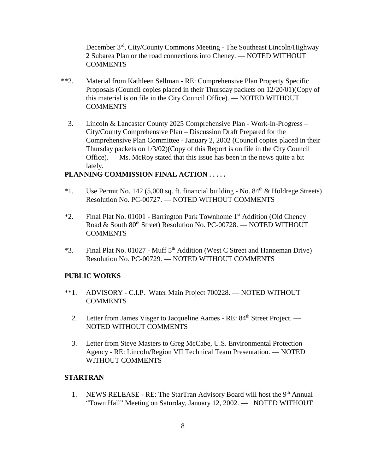December 3rd, City/County Commons Meeting - The Southeast Lincoln/Highway 2 Subarea Plan or the road connections into Cheney. — NOTED WITHOUT **COMMENTS** 

- \*\*2. Material from Kathleen Sellman RE: Comprehensive Plan Property Specific Proposals (Council copies placed in their Thursday packets on 12/20/01)(Copy of this material is on file in the City Council Office). — NOTED WITHOUT **COMMENTS** 
	- 3. Lincoln & Lancaster County 2025 Comprehensive Plan Work-In-Progress City/County Comprehensive Plan – Discussion Draft Prepared for the Comprehensive Plan Committee - January 2, 2002 (Council copies placed in their Thursday packets on 1/3/02)(Copy of this Report is on file in the City Council Office). — Ms. McRoy stated that this issue has been in the news quite a bit lately.

#### **PLANNING COMMISSION FINAL ACTION . . . . .**

- \*1. Use Permit No. 142 (5,000 sq. ft. financial building No.  $84<sup>th</sup>$  & Holdrege Streets) Resolution No. PC-00727. — NOTED WITHOUT COMMENTS
- \*2. Final Plat No. 01001 Barrington Park Townhome 1st Addition (Old Cheney Road & South 80<sup>th</sup> Street) Resolution No. PC-00728. - NOTED WITHOUT **COMMENTS**
- \*3. Final Plat No. 01027 Muff  $5<sup>th</sup>$  Addition (West C Street and Hanneman Drive) Resolution No. PC-00729. **—** NOTED WITHOUT COMMENTS

#### **PUBLIC WORKS**

- \*\*1. ADVISORY C.I.P. Water Main Project 700228. NOTED WITHOUT COMMENTS
	- 2. Letter from James Visger to Jacqueline Aames RE:  $84<sup>th</sup>$  Street Project. NOTED WITHOUT COMMENTS
	- 3. Letter from Steve Masters to Greg McCabe, U.S. Environmental Protection Agency - RE: Lincoln/Region VII Technical Team Presentation. — NOTED WITHOUT COMMENTS

#### **STARTRAN**

1. NEWS RELEASE - RE: The StarTran Advisory Board will host the 9<sup>th</sup> Annual "Town Hall" Meeting on Saturday, January 12, 2002. — NOTED WITHOUT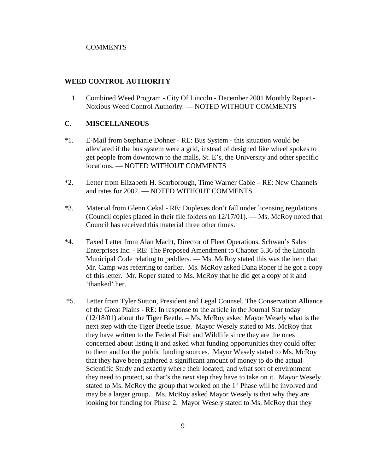#### **COMMENTS**

#### **WEED CONTROL AUTHORITY**

 1. Combined Weed Program - City Of Lincoln - December 2001 Monthly Report - Noxious Weed Control Authority. — NOTED WITHOUT COMMENTS

#### **C. MISCELLANEOUS**

- \*1. E-Mail from Stephanie Dohner RE: Bus System this situation would be alleviated if the bus system were a grid, instead of designed like wheel spokes to get people from downtown to the malls, St. E's, the University and other specific locations. — NOTED WITHOUT COMMENTS
- \*2. Letter from Elizabeth H. Scarborough, Time Warner Cable RE: New Channels and rates for 2002. — NOTED WITHOUT COMMENTS
- \*3. Material from Glenn Cekal RE: Duplexes don't fall under licensing regulations (Council copies placed in their file folders on 12/17/01). — Ms. McRoy noted that Council has received this material three other times.
- \*4. Faxed Letter from Alan Macht, Director of Fleet Operations, Schwan's Sales Enterprises Inc. - RE: The Proposed Amendment to Chapter 5.36 of the Lincoln Municipal Code relating to peddlers. — Ms. McRoy stated this was the item that Mr. Camp was referring to earlier. Ms. McRoy asked Dana Roper if he got a copy of this letter. Mr. Roper stated to Ms. McRoy that he did get a copy of it and 'thanked' her.
- \*5. Letter from Tyler Sutton, President and Legal Counsel, The Conservation Alliance of the Great Plains - RE: In response to the article in the Journal Star today (12/18/01) about the Tiger Beetle. – Ms. McRoy asked Mayor Wesely what is the next step with the Tiger Beetle issue. Mayor Wesely stated to Ms. McRoy that they have written to the Federal Fish and Wildlife since they are the ones concerned about listing it and asked what funding opportunities they could offer to them and for the public funding sources. Mayor Wesely stated to Ms. McRoy that they have been gathered a significant amount of money to do the actual Scientific Study and exactly where their located; and what sort of environment they need to protect, so that's the next step they have to take on it. Mayor Wesely stated to Ms. McRoy the group that worked on the  $1<sup>st</sup>$  Phase will be involved and may be a larger group. Ms. McRoy asked Mayor Wesely is that why they are looking for funding for Phase 2. Mayor Wesely stated to Ms. McRoy that they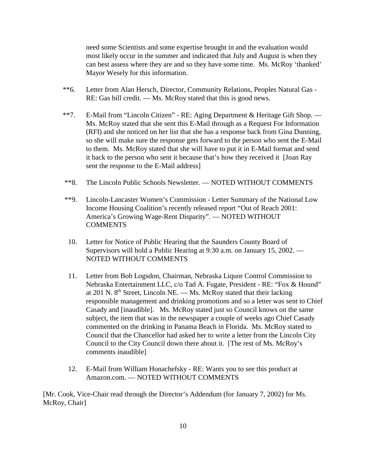need some Scientists and some expertise brought in and the evaluation would most likely occur in the summer and indicated that July and August is when they can best assess where they are and so they have some time. Ms. McRoy 'thanked' Mayor Wesely for this information.

- \*\*6. Letter from Alan Hersch, Director, Community Relations, Peoples Natural Gas RE: Gas bill credit. — Ms. McRoy stated that this is good news.
- \*\*7. E-Mail from "Lincoln Citizen" RE: Aging Department & Heritage Gift Shop. Ms. McRoy stated that she sent this E-Mail through as a Request For Information (RFI) and she noticed on her list that she has a response back from Gina Dunning, so she will make sure the response gets forward to the person who sent the E-Mail to them. Ms. McRoy stated that she will have to put it in E-Mail format and send it back to the person who sent it because that's how they received it [Joan Ray sent the response to the E-Mail address]
- \*\*8. The Lincoln Public Schools Newsletter. NOTED WITHOUT COMMENTS
- \*\*9. Lincoln-Lancaster Women's Commission Letter Summary of the National Low Income Housing Coalition's recently released report "Out of Reach 2001: America's Growing Wage-Rent Disparity". — NOTED WITHOUT **COMMENTS**
- 10. Letter for Notice of Public Hearing that the Saunders County Board of Supervisors will hold a Public Hearing at 9:30 a.m. on January 15, 2002. — NOTED WITHOUT COMMENTS
- 11. Letter from Bob Logsdon, Chairman, Nebraska Liquor Control Commission to Nebraska Entertainment LLC, c/o Tad A. Fugate, President - RE: "Fox & Hound" at 201 N.  $8<sup>th</sup>$  Street, Lincoln NE. — Ms. McRoy stated that their lacking responsible management and drinking promotions and so a letter was sent to Chief Casady and [inaudible]. Ms. McRoy stated just so Council knows on the same subject, the item that was in the newspaper a couple of weeks ago Chief Casady commented on the drinking in Panama Beach in Florida. Ms. McRoy stated to Council that the Chancellor had asked her to write a letter from the Lincoln City Council to the City Council down there about it. [The rest of Ms. McRoy's comments inaudible]
- 12. E-Mail from William Honachefsky RE: Wants you to see this product at Amazon.com. — NOTED WITHOUT COMMENTS

[Mr. Cook, Vice-Chair read through the Director's Addendum (for January 7, 2002) for Ms. McRoy, Chair]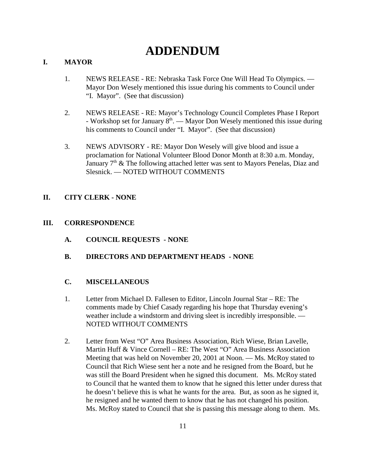# **ADDENDUM**

## **I. MAYOR**

- 1. NEWS RELEASE RE: Nebraska Task Force One Will Head To Olympics. Mayor Don Wesely mentioned this issue during his comments to Council under "I. Mayor". (See that discussion)
- 2. NEWS RELEASE RE: Mayor's Technology Council Completes Phase I Report - Workshop set for January  $8<sup>th</sup>$ . — Mayor Don Wesely mentioned this issue during his comments to Council under "I. Mayor". (See that discussion)
- 3. NEWS ADVISORY RE: Mayor Don Wesely will give blood and issue a proclamation for National Volunteer Blood Donor Month at 8:30 a.m. Monday, January 7<sup>th</sup> & The following attached letter was sent to Mayors Penelas, Diaz and Slesnick. — NOTED WITHOUT COMMENTS

## **II. CITY CLERK - NONE**

## **III. CORRESPONDENCE**

- **A. COUNCIL REQUESTS NONE**
- **B. DIRECTORS AND DEPARTMENT HEADS NONE**

## **C. MISCELLANEOUS**

- 1. Letter from Michael D. Fallesen to Editor, Lincoln Journal Star RE: The comments made by Chief Casady regarding his hope that Thursday evening's weather include a windstorm and driving sleet is incredibly irresponsible. — NOTED WITHOUT COMMENTS
- 2. Letter from West "O" Area Business Association, Rich Wiese, Brian Lavelle, Martin Huff & Vince Cornell – RE: The West "O" Area Business Association Meeting that was held on November 20, 2001 at Noon. — Ms. McRoy stated to Council that Rich Wiese sent her a note and he resigned from the Board, but he was still the Board President when he signed this document. Ms. McRoy stated to Council that he wanted them to know that he signed this letter under duress that he doesn't believe this is what he wants for the area. But, as soon as he signed it, he resigned and he wanted them to know that he has not changed his position. Ms. McRoy stated to Council that she is passing this message along to them. Ms.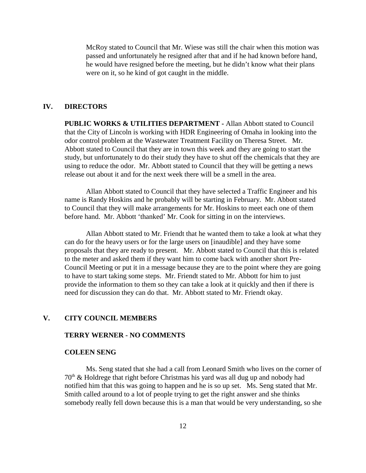McRoy stated to Council that Mr. Wiese was still the chair when this motion was passed and unfortunately he resigned after that and if he had known before hand, he would have resigned before the meeting, but he didn't know what their plans were on it, so he kind of got caught in the middle.

#### **IV. DIRECTORS**

**PUBLIC WORKS & UTILITIES DEPARTMENT -** Allan Abbott stated to Council that the City of Lincoln is working with HDR Engineering of Omaha in looking into the odor control problem at the Wastewater Treatment Facility on Theresa Street. Mr. Abbott stated to Council that they are in town this week and they are going to start the study, but unfortunately to do their study they have to shut off the chemicals that they are using to reduce the odor. Mr. Abbott stated to Council that they will be getting a news release out about it and for the next week there will be a smell in the area.

Allan Abbott stated to Council that they have selected a Traffic Engineer and his name is Randy Hoskins and he probably will be starting in February. Mr. Abbott stated to Council that they will make arrangements for Mr. Hoskins to meet each one of them before hand. Mr. Abbott 'thanked' Mr. Cook for sitting in on the interviews.

Allan Abbott stated to Mr. Friendt that he wanted them to take a look at what they can do for the heavy users or for the large users on [inaudible] and they have some proposals that they are ready to present. Mr. Abbott stated to Council that this is related to the meter and asked them if they want him to come back with another short Pre-Council Meeting or put it in a message because they are to the point where they are going to have to start taking some steps. Mr. Friendt stated to Mr. Abbott for him to just provide the information to them so they can take a look at it quickly and then if there is need for discussion they can do that. Mr. Abbott stated to Mr. Friendt okay.

## **V. CITY COUNCIL MEMBERS**

## **TERRY WERNER - NO COMMENTS**

#### **COLEEN SENG**

Ms. Seng stated that she had a call from Leonard Smith who lives on the corner of  $70<sup>th</sup>$  & Holdrege that right before Christmas his yard was all dug up and nobody had notified him that this was going to happen and he is so up set. Ms. Seng stated that Mr. Smith called around to a lot of people trying to get the right answer and she thinks somebody really fell down because this is a man that would be very understanding, so she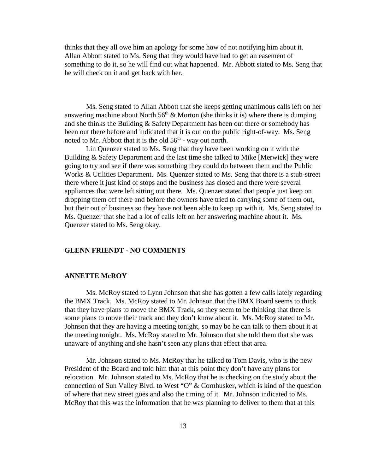thinks that they all owe him an apology for some how of not notifying him about it. Allan Abbott stated to Ms. Seng that they would have had to get an easement of something to do it, so he will find out what happened. Mr. Abbott stated to Ms. Seng that he will check on it and get back with her.

Ms. Seng stated to Allan Abbott that she keeps getting unanimous calls left on her answering machine about North  $56<sup>th</sup>$  & Morton (she thinks it is) where there is dumping and she thinks the Building & Safety Department has been out there or somebody has been out there before and indicated that it is out on the public right-of-way. Ms. Seng noted to Mr. Abbott that it is the old  $56<sup>th</sup>$  - way out north.

Lin Quenzer stated to Ms. Seng that they have been working on it with the Building & Safety Department and the last time she talked to Mike [Merwick] they were going to try and see if there was something they could do between them and the Public Works & Utilities Department. Ms. Quenzer stated to Ms. Seng that there is a stub-street there where it just kind of stops and the business has closed and there were several appliances that were left sitting out there. Ms. Quenzer stated that people just keep on dropping them off there and before the owners have tried to carrying some of them out, but their out of business so they have not been able to keep up with it. Ms. Seng stated to Ms. Quenzer that she had a lot of calls left on her answering machine about it. Ms. Quenzer stated to Ms. Seng okay.

#### **GLENN FRIENDT - NO COMMENTS**

#### **ANNETTE McROY**

Ms. McRoy stated to Lynn Johnson that she has gotten a few calls lately regarding the BMX Track. Ms. McRoy stated to Mr. Johnson that the BMX Board seems to think that they have plans to move the BMX Track, so they seem to be thinking that there is some plans to move their track and they don't know about it. Ms. McRoy stated to Mr. Johnson that they are having a meeting tonight, so may be he can talk to them about it at the meeting tonight. Ms. McRoy stated to Mr. Johnson that she told them that she was unaware of anything and she hasn't seen any plans that effect that area.

Mr. Johnson stated to Ms. McRoy that he talked to Tom Davis, who is the new President of the Board and told him that at this point they don't have any plans for relocation. Mr. Johnson stated to Ms. McRoy that he is checking on the study about the connection of Sun Valley Blvd. to West "O" & Cornhusker, which is kind of the question of where that new street goes and also the timing of it. Mr. Johnson indicated to Ms. McRoy that this was the information that he was planning to deliver to them that at this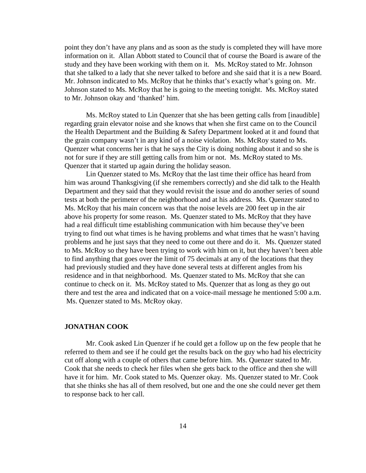point they don't have any plans and as soon as the study is completed they will have more information on it. Allan Abbott stated to Council that of course the Board is aware of the study and they have been working with them on it. Ms. McRoy stated to Mr. Johnson that she talked to a lady that she never talked to before and she said that it is a new Board. Mr. Johnson indicated to Ms. McRoy that he thinks that's exactly what's going on. Mr. Johnson stated to Ms. McRoy that he is going to the meeting tonight. Ms. McRoy stated to Mr. Johnson okay and 'thanked' him.

Ms. McRoy stated to Lin Quenzer that she has been getting calls from [inaudible] regarding grain elevator noise and she knows that when she first came on to the Council the Health Department and the Building & Safety Department looked at it and found that the grain company wasn't in any kind of a noise violation. Ms. McRoy stated to Ms. Quenzer what concerns her is that he says the City is doing nothing about it and so she is not for sure if they are still getting calls from him or not. Ms. McRoy stated to Ms. Quenzer that it started up again during the holiday season.

Lin Quenzer stated to Ms. McRoy that the last time their office has heard from him was around Thanksgiving (if she remembers correctly) and she did talk to the Health Department and they said that they would revisit the issue and do another series of sound tests at both the perimeter of the neighborhood and at his address. Ms. Quenzer stated to Ms. McRoy that his main concern was that the noise levels are 200 feet up in the air above his property for some reason. Ms. Quenzer stated to Ms. McRoy that they have had a real difficult time establishing communication with him because they've been trying to find out what times is he having problems and what times that he wasn't having problems and he just says that they need to come out there and do it. Ms. Quenzer stated to Ms. McRoy so they have been trying to work with him on it, but they haven't been able to find anything that goes over the limit of 75 decimals at any of the locations that they had previously studied and they have done several tests at different angles from his residence and in that neighborhood. Ms. Quenzer stated to Ms. McRoy that she can continue to check on it. Ms. McRoy stated to Ms. Quenzer that as long as they go out there and test the area and indicated that on a voice-mail message he mentioned 5:00 a.m. Ms. Quenzer stated to Ms. McRoy okay.

#### **JONATHAN COOK**

Mr. Cook asked Lin Quenzer if he could get a follow up on the few people that he referred to them and see if he could get the results back on the guy who had his electricity cut off along with a couple of others that came before him. Ms. Quenzer stated to Mr. Cook that she needs to check her files when she gets back to the office and then she will have it for him. Mr. Cook stated to Ms. Quenzer okay. Ms. Quenzer stated to Mr. Cook that she thinks she has all of them resolved, but one and the one she could never get them to response back to her call.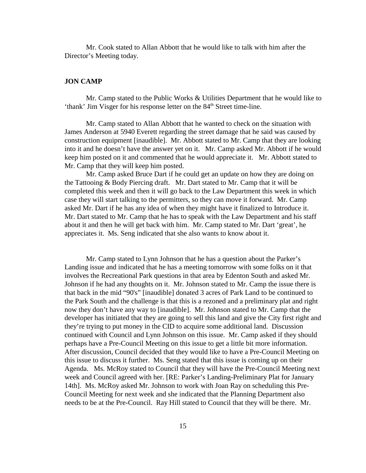Mr. Cook stated to Allan Abbott that he would like to talk with him after the Director's Meeting today.

#### **JON CAMP**

Mr. Camp stated to the Public Works & Utilities Department that he would like to 'thank' Jim Visger for his response letter on the 84<sup>th</sup> Street time-line.

Mr. Camp stated to Allan Abbott that he wanted to check on the situation with James Anderson at 5940 Everett regarding the street damage that he said was caused by construction equipment [inaudible]. Mr. Abbott stated to Mr. Camp that they are looking into it and he doesn't have the answer yet on it. Mr. Camp asked Mr. Abbott if he would keep him posted on it and commented that he would appreciate it. Mr. Abbott stated to Mr. Camp that they will keep him posted.

Mr. Camp asked Bruce Dart if he could get an update on how they are doing on the Tattooing & Body Piercing draft. Mr. Dart stated to Mr. Camp that it will be completed this week and then it will go back to the Law Department this week in which case they will start talking to the permitters, so they can move it forward. Mr. Camp asked Mr. Dart if he has any idea of when they might have it finalized to Introduce it. Mr. Dart stated to Mr. Camp that he has to speak with the Law Department and his staff about it and then he will get back with him. Mr. Camp stated to Mr. Dart 'great', he appreciates it. Ms. Seng indicated that she also wants to know about it.

Mr. Camp stated to Lynn Johnson that he has a question about the Parker's Landing issue and indicated that he has a meeting tomorrow with some folks on it that involves the Recreational Park questions in that area by Edenton South and asked Mr. Johnson if he had any thoughts on it. Mr. Johnson stated to Mr. Camp the issue there is that back in the mid "90's" [inaudible] donated 3 acres of Park Land to be continued to the Park South and the challenge is that this is a rezoned and a preliminary plat and right now they don't have any way to [inaudible]. Mr. Johnson stated to Mr. Camp that the developer has initiated that they are going to sell this land and give the City first right and they're trying to put money in the CID to acquire some additional land. Discussion continued with Council and Lynn Johnson on this issue. Mr. Camp asked if they should perhaps have a Pre-Council Meeting on this issue to get a little bit more information. After discussion, Council decided that they would like to have a Pre-Council Meeting on this issue to discuss it further. Ms. Seng stated that this issue is coming up on their Agenda. Ms. McRoy stated to Council that they will have the Pre-Council Meeting next week and Council agreed with her. [RE: Parker's Landing-Preliminary Plat for January 14th]. Ms. McRoy asked Mr. Johnson to work with Joan Ray on scheduling this Pre-Council Meeting for next week and she indicated that the Planning Department also needs to be at the Pre-Council. Ray Hill stated to Council that they will be there. Mr.